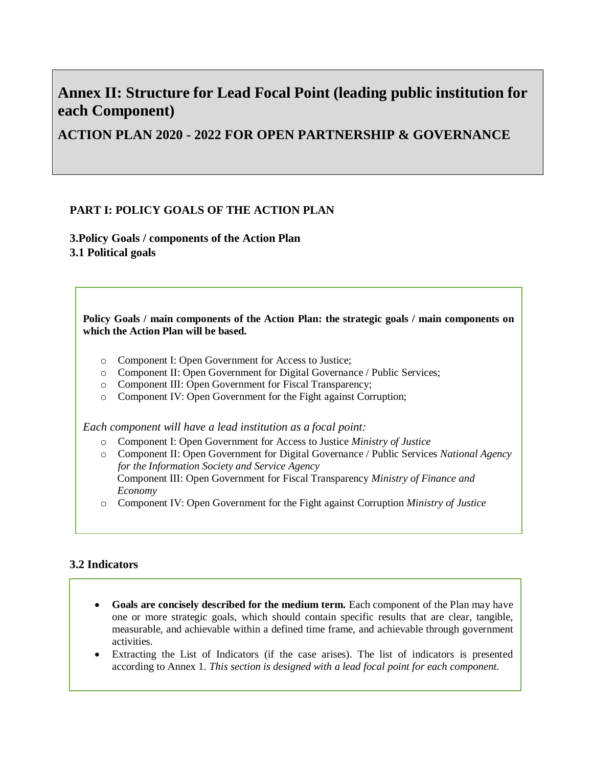# **Annex II: Structure for Lead Focal Point (leading public institution for each Component)**

**ACTION PLAN 2020 - 2022 FOR OPEN PARTNERSHIP & GOVERNANCE**

## **PART I: POLICY GOALS OF THE ACTION PLAN**

**3.Policy Goals / components of the Action Plan 3.1 Political goals**

**Policy Goals / main components of the Action Plan: the strategic goals / main components on which the Action Plan will be based.**

- o Component I: Open Government for Access to Justice;
- o Component II: Open Government for Digital Governance / Public Services;
- o Component III: Open Government for Fiscal Transparency;
- o Component IV: Open Government for the Fight against Corruption;

*Each component will have a lead institution as a focal point:*

- o Component I: Open Government for Access to Justice *Ministry of Justice*
- o Component II: Open Government for Digital Governance / Public Services *National Agency for the Information Society and Service Agency* Component III: Open Government for Fiscal Transparency *Ministry of Finance and Economy*
- o Component IV: Open Government for the Fight against Corruption *Ministry of Justice*

## **3.2 Indicators**

- **Goals are concisely described for the medium term.** Each component of the Plan may have one or more strategic goals, which should contain specific results that are clear, tangible, measurable, and achievable within a defined time frame, and achievable through government activities.
- Extracting the List of Indicators (if the case arises). The list of indicators is presented according to Annex 1. *This section is designed with a lead focal point for each component.*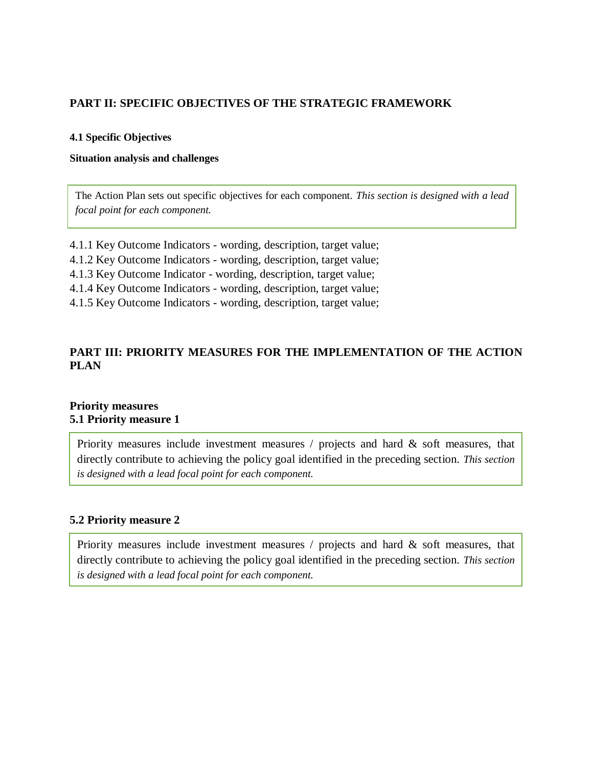## **PART II: SPECIFIC OBJECTIVES OF THE STRATEGIC FRAMEWORK**

#### **4.1 Specific Objectives**

#### **Situation analysis and challenges**

The Action Plan sets out specific objectives for each component. *This section is designed with a lead focal point for each component.*

- 4.1.1 Key Outcome Indicators wording, description, target value;
- 4.1.2 Key Outcome Indicators wording, description, target value;
- 4.1.3 Key Outcome Indicator wording, description, target value;
- 4.1.4 Key Outcome Indicators wording, description, target value;
- 4.1.5 Key Outcome Indicators wording, description, target value;

## **PART III: PRIORITY MEASURES FOR THE IMPLEMENTATION OF THE ACTION PLAN**

## **Priority measures 5.1 Priority measure 1**

Priority measures include investment measures / projects and hard & soft measures, that directly contribute to achieving the policy goal identified in the preceding section. *This section is designed with a lead focal point for each component.*

## **5.2 Priority measure 2**

Priority measures include investment measures / projects and hard & soft measures, that directly contribute to achieving the policy goal identified in the preceding section. *This section is designed with a lead focal point for each component.*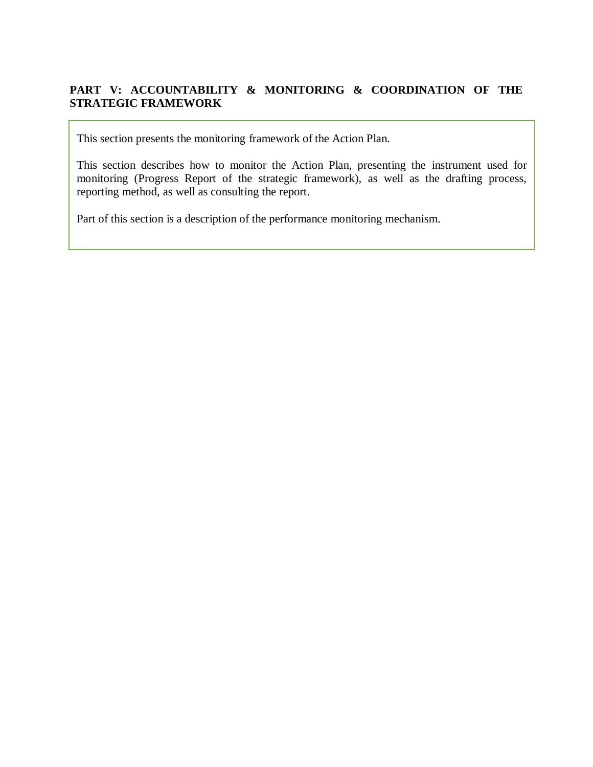# **PART V: ACCOUNTABILITY & MONITORING & COORDINATION OF THE STRATEGIC FRAMEWORK**

This section presents the monitoring framework of the Action Plan.

This section describes how to monitor the Action Plan, presenting the instrument used for monitoring (Progress Report of the strategic framework), as well as the drafting process, reporting method, as well as consulting the report.

Part of this section is a description of the performance monitoring mechanism.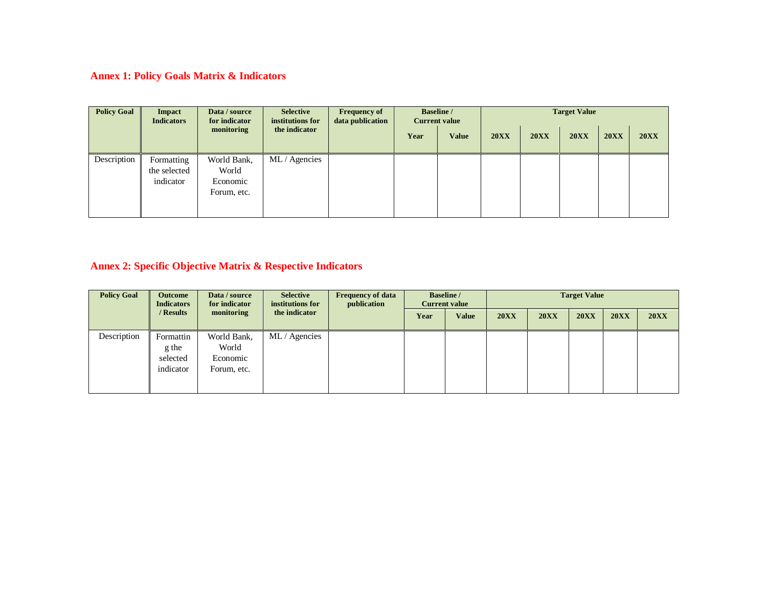## **Annex 1: Policy Goals Matrix & Indicators**

| <b>Policy Goal</b> | Impact<br><b>Indicators</b>             | Data / source<br>for indicator                  | <b>Selective</b><br>institutions for | <b>Frequency of</b><br>data publication | <b>Baseline</b> /<br><b>Current value</b> |       | <b>Target Value</b> |      |      |      |      |
|--------------------|-----------------------------------------|-------------------------------------------------|--------------------------------------|-----------------------------------------|-------------------------------------------|-------|---------------------|------|------|------|------|
|                    |                                         | monitoring                                      | the indicator                        |                                         | Year                                      | Value | 20XX                | 20XX | 20XX | 20XX | 20XX |
| Description        | Formatting<br>the selected<br>indicator | World Bank,<br>World<br>Economic<br>Forum, etc. | ML / Agencies                        |                                         |                                           |       |                     |      |      |      |      |

## **Annex 2: Specific Objective Matrix & Respective Indicators**

| <b>Policy Goal</b> | <b>Outcome</b><br>Data / source<br><b>Indicators</b><br>for indicator |                                                 | <b>Selective</b><br>institutions for | <b>Frequency of data</b><br>publication | <b>Baseline</b> /<br><b>Current value</b> |              | <b>Target Value</b> |      |      |      |      |
|--------------------|-----------------------------------------------------------------------|-------------------------------------------------|--------------------------------------|-----------------------------------------|-------------------------------------------|--------------|---------------------|------|------|------|------|
|                    | / Results                                                             | monitoring                                      | the indicator                        |                                         | Year                                      | <b>Value</b> | 20XX                | 20XX | 20XX | 20XX | 20XX |
| Description        | Formattin<br>g the<br>selected<br>indicator                           | World Bank,<br>World<br>Economic<br>Forum, etc. | ML / Agencies                        |                                         |                                           |              |                     |      |      |      |      |